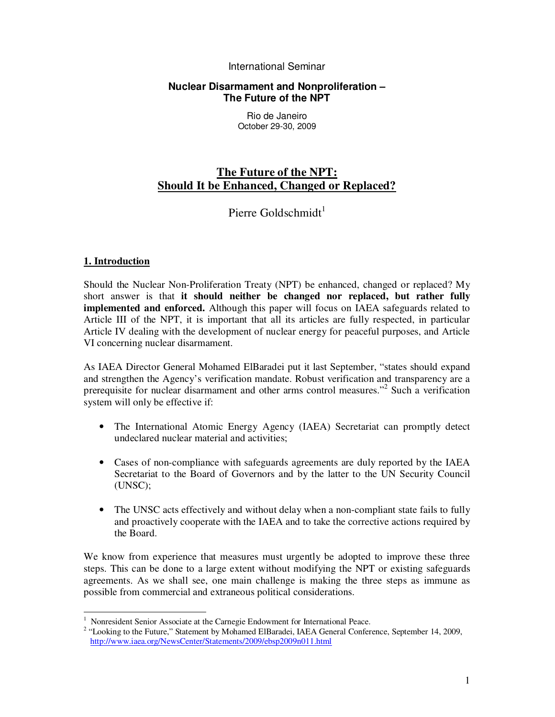## International Seminar

## **Nuclear Disarmament and Nonproliferation – The Future of the NPT**

Rio de Janeiro October 29-30, 2009

# **The Future of the NPT: Should It be Enhanced, Changed or Replaced?**

Pierre Goldschmidt $1$ 

# **1. Introduction**

Should the Nuclear Non-Proliferation Treaty (NPT) be enhanced, changed or replaced? My short answer is that **it should neither be changed nor replaced, but rather fully implemented and enforced.** Although this paper will focus on IAEA safeguards related to Article III of the NPT, it is important that all its articles are fully respected, in particular Article IV dealing with the development of nuclear energy for peaceful purposes, and Article VI concerning nuclear disarmament.

As IAEA Director General Mohamed ElBaradei put it last September, "states should expand and strengthen the Agency's verification mandate. Robust verification and transparency are a prerequisite for nuclear disarmament and other arms control measures."<sup>2</sup> Such a verification system will only be effective if:

- The International Atomic Energy Agency (IAEA) Secretariat can promptly detect undeclared nuclear material and activities;
- Cases of non-compliance with safeguards agreements are duly reported by the IAEA Secretariat to the Board of Governors and by the latter to the UN Security Council (UNSC);
- The UNSC acts effectively and without delay when a non-compliant state fails to fully and proactively cooperate with the IAEA and to take the corrective actions required by the Board.

We know from experience that measures must urgently be adopted to improve these three steps. This can be done to a large extent without modifying the NPT or existing safeguards agreements. As we shall see, one main challenge is making the three steps as immune as possible from commercial and extraneous political considerations.

 $\overline{a}$ 1 Nonresident Senior Associate at the Carnegie Endowment for International Peace.

<sup>&</sup>lt;sup>2</sup> "Looking to the Future," Statement by Mohamed ElBaradei, IAEA General Conference, September 14, 2009, http://www.iaea.org/NewsCenter/Statements/2009/ebsp2009n011.html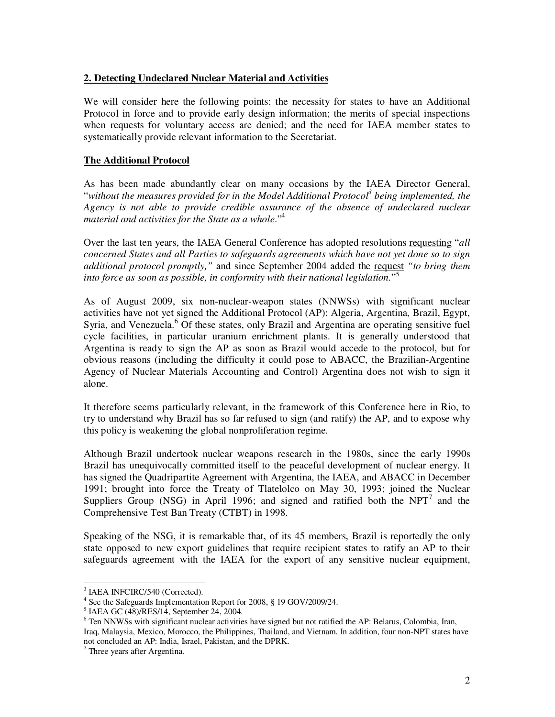# **2. Detecting Undeclared Nuclear Material and Activities**

We will consider here the following points: the necessity for states to have an Additional Protocol in force and to provide early design information; the merits of special inspections when requests for voluntary access are denied; and the need for IAEA member states to systematically provide relevant information to the Secretariat.

# **The Additional Protocol**

As has been made abundantly clear on many occasions by the IAEA Director General, "*without the measures provided for in the Model Additional Protocol<sup>3</sup> being implemented, the Agency is not able to provide credible assurance of the absence of undeclared nuclear material and activities for the State as a whole*."<sup>4</sup>

Over the last ten years, the IAEA General Conference has adopted resolutions requesting "*all concerned States and all Parties to safeguards agreements which have not yet done so to sign additional protocol promptly,"* and since September 2004 added the request *"to bring them into force as soon as possible, in conformity with their national legislation.*" 5

As of August 2009, six non-nuclear-weapon states (NNWSs) with significant nuclear activities have not yet signed the Additional Protocol (AP): Algeria, Argentina, Brazil, Egypt, Syria, and Venezuela.<sup>6</sup> Of these states, only Brazil and Argentina are operating sensitive fuel cycle facilities, in particular uranium enrichment plants. It is generally understood that Argentina is ready to sign the AP as soon as Brazil would accede to the protocol, but for obvious reasons (including the difficulty it could pose to ABACC, the Brazilian-Argentine Agency of Nuclear Materials Accounting and Control) Argentina does not wish to sign it alone.

It therefore seems particularly relevant, in the framework of this Conference here in Rio, to try to understand why Brazil has so far refused to sign (and ratify) the AP, and to expose why this policy is weakening the global nonproliferation regime.

Although Brazil undertook nuclear weapons research in the 1980s, since the early 1990s Brazil has unequivocally committed itself to the peaceful development of nuclear energy. It has signed the Quadripartite Agreement with Argentina, the IAEA, and ABACC in December 1991; brought into force the Treaty of Tlatelolco on May 30, 1993; joined the Nuclear Suppliers Group (NSG) in April 1996; and signed and ratified both the NPT<sup>7</sup> and the Comprehensive Test Ban Treaty (CTBT) in 1998.

Speaking of the NSG, it is remarkable that, of its 45 members, Brazil is reportedly the only state opposed to new export guidelines that require recipient states to ratify an AP to their safeguards agreement with the IAEA for the export of any sensitive nuclear equipment,

<sup>&</sup>lt;sup>3</sup> IAEA INFCIRC/540 (Corrected).

<sup>&</sup>lt;sup>4</sup> See the Safeguards Implementation Report for 2008, § 19 GOV/2009/24.

<sup>5</sup> IAEA GC (48)/RES/14, September 24, 2004.

<sup>&</sup>lt;sup>6</sup> Ten NNWSs with significant nuclear activities have signed but not ratified the AP: Belarus, Colombia, Iran, Iraq, Malaysia, Mexico, Morocco, the Philippines, Thailand, and Vietnam. In addition, four non-NPT states have not concluded an AP: India, Israel, Pakistan, and the DPRK.

<sup>7</sup> Three years after Argentina.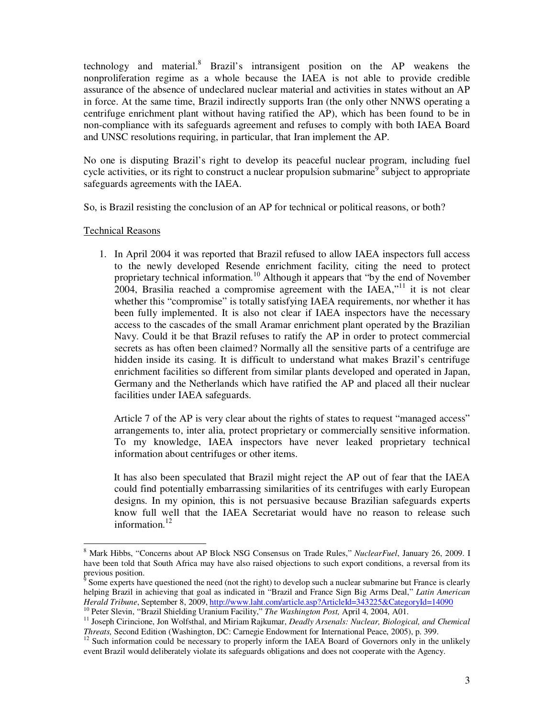technology and material.<sup>8</sup> Brazil's intransigent position on the AP weakens the nonproliferation regime as a whole because the IAEA is not able to provide credible assurance of the absence of undeclared nuclear material and activities in states without an AP in force. At the same time, Brazil indirectly supports Iran (the only other NNWS operating a centrifuge enrichment plant without having ratified the AP), which has been found to be in non-compliance with its safeguards agreement and refuses to comply with both IAEA Board and UNSC resolutions requiring, in particular, that Iran implement the AP.

No one is disputing Brazil's right to develop its peaceful nuclear program, including fuel cycle activities, or its right to construct a nuclear propulsion submarine<sup>9</sup> subject to appropriate safeguards agreements with the IAEA.

So, is Brazil resisting the conclusion of an AP for technical or political reasons, or both?

#### Technical Reasons

1. In April 2004 it was reported that Brazil refused to allow IAEA inspectors full access to the newly developed Resende enrichment facility, citing the need to protect proprietary technical information.<sup>10</sup> Although it appears that "by the end of November 2004, Brasilia reached a compromise agreement with the IAEA,"<sup>11</sup> it is not clear whether this "compromise" is totally satisfying IAEA requirements, nor whether it has been fully implemented. It is also not clear if IAEA inspectors have the necessary access to the cascades of the small Aramar enrichment plant operated by the Brazilian Navy. Could it be that Brazil refuses to ratify the AP in order to protect commercial secrets as has often been claimed? Normally all the sensitive parts of a centrifuge are hidden inside its casing. It is difficult to understand what makes Brazil's centrifuge enrichment facilities so different from similar plants developed and operated in Japan, Germany and the Netherlands which have ratified the AP and placed all their nuclear facilities under IAEA safeguards.

Article 7 of the AP is very clear about the rights of states to request "managed access" arrangements to, inter alia, protect proprietary or commercially sensitive information. To my knowledge, IAEA inspectors have never leaked proprietary technical information about centrifuges or other items.

It has also been speculated that Brazil might reject the AP out of fear that the IAEA could find potentially embarrassing similarities of its centrifuges with early European designs. In my opinion, this is not persuasive because Brazilian safeguards experts know full well that the IAEA Secretariat would have no reason to release such information. $^{12}$ 

 $\overline{a}$ 8 Mark Hibbs, "Concerns about AP Block NSG Consensus on Trade Rules," *NuclearFuel*, January 26, 2009. I have been told that South Africa may have also raised objections to such export conditions, a reversal from its previous position.<br><sup>9</sup> Some experts hex

Some experts have questioned the need (not the right) to develop such a nuclear submarine but France is clearly helping Brazil in achieving that goal as indicated in "Brazil and France Sign Big Arms Deal," *Latin American Herald Tribune*, September 8, 2009, http://www.laht.com/article.asp?ArticleId=343225&CategoryId=14090

<sup>10</sup> Peter Slevin, "Brazil Shielding Uranium Facility," *The Washington Post,* April 4, 2004, A01.

<sup>&</sup>lt;sup>11</sup> Joseph Cirincione, Jon Wolfsthal, and Miriam Rajkumar, *Deadly Arsenals: Nuclear, Biological, and Chemical Threats,* Second Edition (Washington, DC: Carnegie Endowment for International Peace, 2005), p. 399.

<sup>&</sup>lt;sup>12</sup> Such information could be necessary to properly inform the IAEA Board of Governors only in the unlikely event Brazil would deliberately violate its safeguards obligations and does not cooperate with the Agency.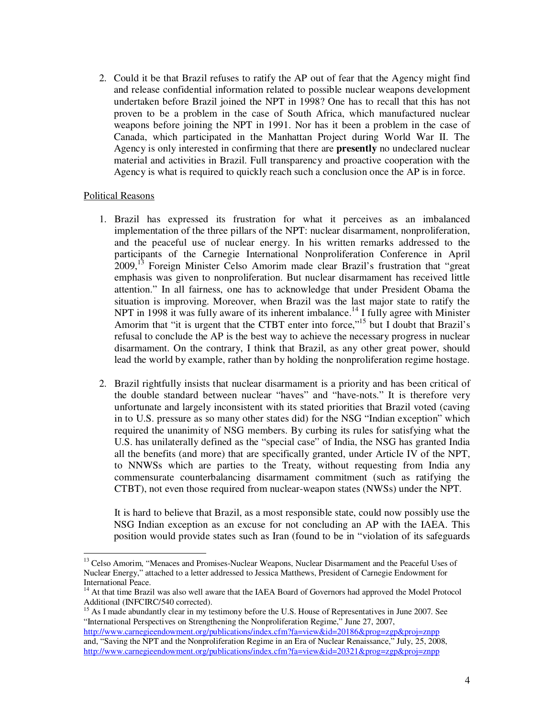2. Could it be that Brazil refuses to ratify the AP out of fear that the Agency might find and release confidential information related to possible nuclear weapons development undertaken before Brazil joined the NPT in 1998? One has to recall that this has not proven to be a problem in the case of South Africa, which manufactured nuclear weapons before joining the NPT in 1991. Nor has it been a problem in the case of Canada, which participated in the Manhattan Project during World War II. The Agency is only interested in confirming that there are **presently** no undeclared nuclear material and activities in Brazil. Full transparency and proactive cooperation with the Agency is what is required to quickly reach such a conclusion once the AP is in force.

#### Political Reasons

 $\ddot{\phantom{a}}$ 

- 1. Brazil has expressed its frustration for what it perceives as an imbalanced implementation of the three pillars of the NPT: nuclear disarmament, nonproliferation, and the peaceful use of nuclear energy. In his written remarks addressed to the participants of the Carnegie International Nonproliferation Conference in April 2009,<sup>13</sup> Foreign Minister Celso Amorim made clear Brazil's frustration that "great emphasis was given to nonproliferation. But nuclear disarmament has received little attention." In all fairness, one has to acknowledge that under President Obama the situation is improving. Moreover, when Brazil was the last major state to ratify the NPT in 1998 it was fully aware of its inherent imbalance.<sup>14</sup> I fully agree with Minister Amorim that "it is urgent that the CTBT enter into force,"<sup>15</sup> but I doubt that Brazil's refusal to conclude the AP is the best way to achieve the necessary progress in nuclear disarmament. On the contrary, I think that Brazil, as any other great power, should lead the world by example, rather than by holding the nonproliferation regime hostage.
- 2. Brazil rightfully insists that nuclear disarmament is a priority and has been critical of the double standard between nuclear "haves" and "have-nots." It is therefore very unfortunate and largely inconsistent with its stated priorities that Brazil voted (caving in to U.S. pressure as so many other states did) for the NSG "Indian exception" which required the unanimity of NSG members. By curbing its rules for satisfying what the U.S. has unilaterally defined as the "special case" of India, the NSG has granted India all the benefits (and more) that are specifically granted, under Article IV of the NPT, to NNWSs which are parties to the Treaty, without requesting from India any commensurate counterbalancing disarmament commitment (such as ratifying the CTBT), not even those required from nuclear-weapon states (NWSs) under the NPT.

It is hard to believe that Brazil, as a most responsible state, could now possibly use the NSG Indian exception as an excuse for not concluding an AP with the IAEA. This position would provide states such as Iran (found to be in "violation of its safeguards

<sup>&</sup>lt;sup>13</sup> Celso Amorim, "Menaces and Promises-Nuclear Weapons, Nuclear Disarmament and the Peaceful Uses of Nuclear Energy," attached to a letter addressed to Jessica Matthews, President of Carnegie Endowment for International Peace.

<sup>&</sup>lt;sup>14</sup> At that time Brazil was also well aware that the IAEA Board of Governors had approved the Model Protocol Additional (INFCIRC/540 corrected).

<sup>&</sup>lt;sup>15</sup> As I made abundantly clear in my testimony before the U.S. House of Representatives in June 2007. See "International Perspectives on Strengthening the Nonproliferation Regime," June 27, 2007, http://www.carnegieendowment.org/publications/index.cfm?fa=view&id=20186&prog=zgp&proj=znpp and, "Saving the NPT and the Nonproliferation Regime in an Era of Nuclear Renaissance," July, 25, 2008,

http://www.carnegieendowment.org/publications/index.cfm?fa=view&id=20321&prog=zgp&proj=znpp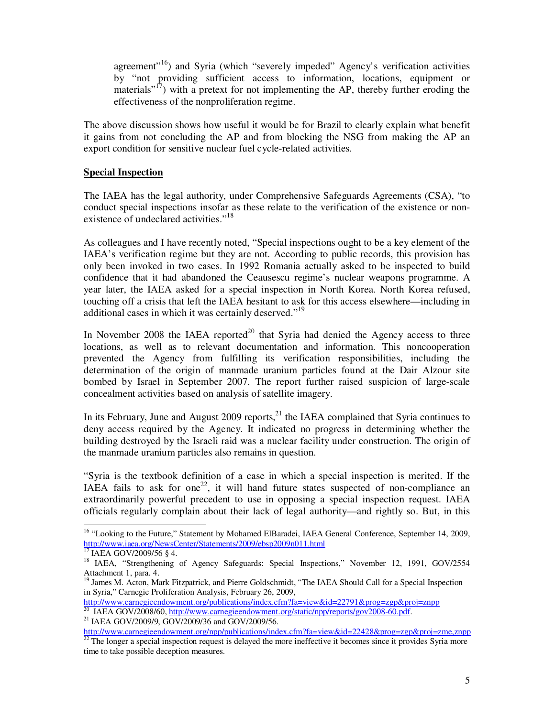agreement"<sup>16</sup>) and Syria (which "severely impeded" Agency's verification activities by "not providing sufficient access to information, locations, equipment or materials $17$ ) with a pretext for not implementing the AP, thereby further eroding the effectiveness of the nonproliferation regime.

The above discussion shows how useful it would be for Brazil to clearly explain what benefit it gains from not concluding the AP and from blocking the NSG from making the AP an export condition for sensitive nuclear fuel cycle-related activities.

## **Special Inspection**

The IAEA has the legal authority, under Comprehensive Safeguards Agreements (CSA), "to conduct special inspections insofar as these relate to the verification of the existence or nonexistence of undeclared activities."<sup>18</sup>

As colleagues and I have recently noted, "Special inspections ought to be a key element of the IAEA's verification regime but they are not. According to public records, this provision has only been invoked in two cases. In 1992 Romania actually asked to be inspected to build confidence that it had abandoned the Ceausescu regime's nuclear weapons programme. A year later, the IAEA asked for a special inspection in North Korea. North Korea refused, touching off a crisis that left the IAEA hesitant to ask for this access elsewhere—including in additional cases in which it was certainly deserved."<sup>19</sup>

In November 2008 the IAEA reported $^{20}$  that Syria had denied the Agency access to three locations, as well as to relevant documentation and information. This noncooperation prevented the Agency from fulfilling its verification responsibilities, including the determination of the origin of manmade uranium particles found at the Dair Alzour site bombed by Israel in September 2007. The report further raised suspicion of large-scale concealment activities based on analysis of satellite imagery.

In its February, June and August  $2009$  reports,<sup>21</sup> the IAEA complained that Syria continues to deny access required by the Agency. It indicated no progress in determining whether the building destroyed by the Israeli raid was a nuclear facility under construction. The origin of the manmade uranium particles also remains in question.

"Syria is the textbook definition of a case in which a special inspection is merited. If the IAEA fails to ask for one<sup>22</sup>, it will hand future states suspected of non-compliance an extraordinarily powerful precedent to use in opposing a special inspection request. IAEA officials regularly complain about their lack of legal authority—and rightly so. But, in this

 $\overline{a}$ <sup>16</sup> "Looking to the Future," Statement by Mohamed ElBaradei, IAEA General Conference, September 14, 2009, http://www.iaea.org/NewsCenter/Statements/2009/ebsp2009n011.html<br> $\frac{17}{17}$  LA EA COM/2009/26 a 1

<sup>17</sup> IAEA GOV/2009/56 § 4.

<sup>&</sup>lt;sup>18</sup> IAEA, "Strengthening of Agency Safeguards: Special Inspections," November 12, 1991, GOV/2554 Attachment 1, para. 4.

<sup>&</sup>lt;sup>19</sup> James M. Acton, Mark Fitzpatrick, and Pierre Goldschmidt, "The IAEA Should Call for a Special Inspection in Syria," Carnegie Proliferation Analysis, February 26, 2009,

http://www.carnegieendowment.org/publications/index.cfm?fa=view&id=22791&prog=zgp&proj=znpp

<sup>&</sup>lt;sup>20</sup> IAEA GOV/2008/60, http://www.carnegieendowment.org/static/npp/reports/gov2008-60.pdf.

<sup>21</sup> IAEA GOV/2009/9, GOV/2009/36 and GOV/2009/56.

http://www.carnegieendowment.org/npp/publications/index.cfm?fa=view&id=22428&prog=zgp&proj=zme,znpp  $^{22}$  The longer a special inspection request is delayed the more ineffective it becomes since it provides Syria more time to take possible deception measures.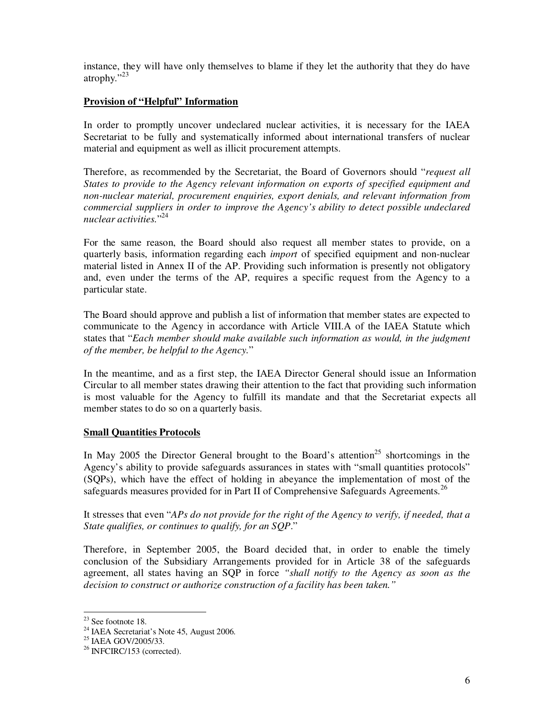instance, they will have only themselves to blame if they let the authority that they do have atrophy."<sup>23</sup>

# **Provision of "Helpful" Information**

In order to promptly uncover undeclared nuclear activities, it is necessary for the IAEA Secretariat to be fully and systematically informed about international transfers of nuclear material and equipment as well as illicit procurement attempts.

Therefore, as recommended by the Secretariat, the Board of Governors should "*request all States to provide to the Agency relevant information on exports of specified equipment and non-nuclear material, procurement enquiries, export denials, and relevant information from commercial suppliers in order to improve the Agency's ability to detect possible undeclared nuclear activities.*" 24

For the same reason, the Board should also request all member states to provide, on a quarterly basis, information regarding each *import* of specified equipment and non-nuclear material listed in Annex II of the AP. Providing such information is presently not obligatory and, even under the terms of the AP, requires a specific request from the Agency to a particular state.

The Board should approve and publish a list of information that member states are expected to communicate to the Agency in accordance with Article VIII.A of the IAEA Statute which states that "*Each member should make available such information as would, in the judgment of the member, be helpful to the Agency.*"

In the meantime, and as a first step, the IAEA Director General should issue an Information Circular to all member states drawing their attention to the fact that providing such information is most valuable for the Agency to fulfill its mandate and that the Secretariat expects all member states to do so on a quarterly basis.

# **Small Quantities Protocols**

In May 2005 the Director General brought to the Board's attention<sup>25</sup> shortcomings in the Agency's ability to provide safeguards assurances in states with "small quantities protocols" (SQPs), which have the effect of holding in abeyance the implementation of most of the safeguards measures provided for in Part II of Comprehensive Safeguards Agreements.<sup>26</sup>

It stresses that even "*APs do not provide for the right of the Agency to verify, if needed, that a State qualifies, or continues to qualify, for an SQP*."

Therefore, in September 2005, the Board decided that, in order to enable the timely conclusion of the Subsidiary Arrangements provided for in Article 38 of the safeguards agreement, all states having an SQP in force *"shall notify to the Agency as soon as the decision to construct or authorize construction of a facility has been taken."* 

 $\overline{a}$ 

 $23$  See footnote 18.

<sup>&</sup>lt;sup>24</sup> IAEA Secretariat's Note 45, August 2006.

<sup>&</sup>lt;sup>25</sup> IAEA GOV/2005/33.

<sup>26</sup> INFCIRC/153 (corrected).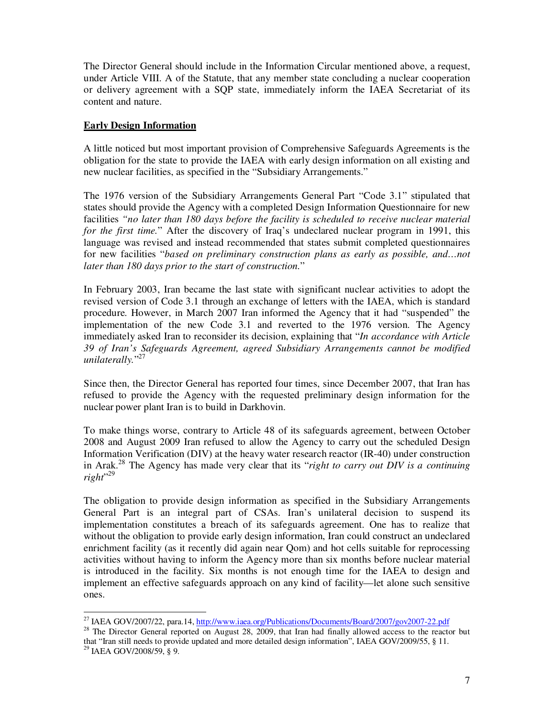The Director General should include in the Information Circular mentioned above, a request, under Article VIII. A of the Statute, that any member state concluding a nuclear cooperation or delivery agreement with a SQP state, immediately inform the IAEA Secretariat of its content and nature.

## **Early Design Information**

A little noticed but most important provision of Comprehensive Safeguards Agreements is the obligation for the state to provide the IAEA with early design information on all existing and new nuclear facilities, as specified in the "Subsidiary Arrangements."

The 1976 version of the Subsidiary Arrangements General Part "Code 3.1" stipulated that states should provide the Agency with a completed Design Information Questionnaire for new facilities *"no later than 180 days before the facility is scheduled to receive nuclear material for the first time.*" After the discovery of Iraq's undeclared nuclear program in 1991, this language was revised and instead recommended that states submit completed questionnaires for new facilities "*based on preliminary construction plans as early as possible, and…not later than 180 days prior to the start of construction.*"

In February 2003, Iran became the last state with significant nuclear activities to adopt the revised version of Code 3.1 through an exchange of letters with the IAEA, which is standard procedure. However, in March 2007 Iran informed the Agency that it had "suspended" the implementation of the new Code 3.1 and reverted to the 1976 version. The Agency immediately asked Iran to reconsider its decision, explaining that "*In accordance with Article 39 of Iran's Safeguards Agreement, agreed Subsidiary Arrangements cannot be modified unilaterally.*" 27

Since then, the Director General has reported four times, since December 2007, that Iran has refused to provide the Agency with the requested preliminary design information for the nuclear power plant Iran is to build in Darkhovin.

To make things worse, contrary to Article 48 of its safeguards agreement, between October 2008 and August 2009 Iran refused to allow the Agency to carry out the scheduled Design Information Verification (DIV) at the heavy water research reactor (IR-40) under construction in Arak.<sup>28</sup> The Agency has made very clear that its "*right to carry out DIV is a continuing right*" 29

The obligation to provide design information as specified in the Subsidiary Arrangements General Part is an integral part of CSAs. Iran's unilateral decision to suspend its implementation constitutes a breach of its safeguards agreement. One has to realize that without the obligation to provide early design information, Iran could construct an undeclared enrichment facility (as it recently did again near Qom) and hot cells suitable for reprocessing activities without having to inform the Agency more than six months before nuclear material is introduced in the facility. Six months is not enough time for the IAEA to design and implement an effective safeguards approach on any kind of facility—let alone such sensitive ones.

 $\overline{a}$ <sup>27</sup> IAEA GOV/2007/22, para.14, http://www.iaea.org/Publications/Documents/Board/2007/gov2007-22.pdf

<sup>&</sup>lt;sup>28</sup> The Director General reported on August 28, 2009, that Iran had finally allowed access to the reactor but that "Iran still needs to provide updated and more detailed design information", IAEA GOV/2009/55, § 11.

 $^{29}$  IAEA GOV/2008/59, § 9.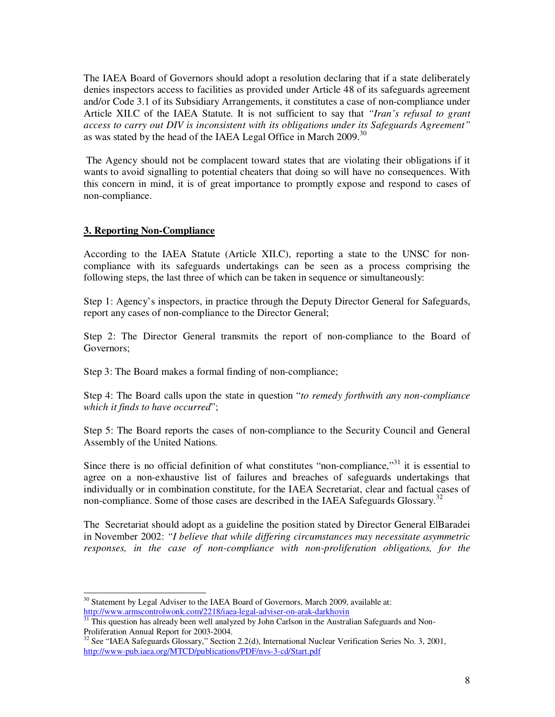The IAEA Board of Governors should adopt a resolution declaring that if a state deliberately denies inspectors access to facilities as provided under Article 48 of its safeguards agreement and/or Code 3.1 of its Subsidiary Arrangements, it constitutes a case of non-compliance under Article XII.C of the IAEA Statute. It is not sufficient to say that *"Iran's refusal to grant access to carry out DIV is inconsistent with its obligations under its Safeguards Agreement"* as was stated by the head of the IAEA Legal Office in March 2009.<sup>30</sup>

 The Agency should not be complacent toward states that are violating their obligations if it wants to avoid signalling to potential cheaters that doing so will have no consequences. With this concern in mind, it is of great importance to promptly expose and respond to cases of non-compliance.

#### **3. Reporting Non-Compliance**

According to the IAEA Statute (Article XII.C), reporting a state to the UNSC for noncompliance with its safeguards undertakings can be seen as a process comprising the following steps, the last three of which can be taken in sequence or simultaneously:

Step 1: Agency's inspectors, in practice through the Deputy Director General for Safeguards, report any cases of non-compliance to the Director General;

Step 2: The Director General transmits the report of non-compliance to the Board of Governors;

Step 3: The Board makes a formal finding of non-compliance;

Step 4: The Board calls upon the state in question "*to remedy forthwith any non-compliance which it finds to have occurred*";

Step 5: The Board reports the cases of non-compliance to the Security Council and General Assembly of the United Nations*.* 

Since there is no official definition of what constitutes "non-compliance,"<sup>31</sup> it is essential to agree on a non-exhaustive list of failures and breaches of safeguards undertakings that individually or in combination constitute, for the IAEA Secretariat, clear and factual cases of non-compliance. Some of those cases are described in the IAEA Safeguards Glossary.<sup>32</sup>

The Secretariat should adopt as a guideline the position stated by Director General ElBaradei in November 2002: *"I believe that while differing circumstances may necessitate asymmetric responses, in the case of non-compliance with non-proliferation obligations, for the* 

 $\overline{a}$  $30$  Statement by Legal Adviser to the IAEA Board of Governors, March 2009, available at: http://www.armscontrolwonk.com/2218/iaea-legal-adviser-on-arak-darkhovin

<sup>&</sup>lt;sup>31</sup> This question has already been well analyzed by John Carlson in the Australian Safeguards and Non-Proliferation Annual Report for 2003-2004.

<sup>&</sup>lt;sup>32</sup> See "IAEA Safeguards Glossary," Section 2.2(d), International Nuclear Verification Series No. 3, 2001, http://www-pub.iaea.org/MTCD/publications/PDF/nvs-3-cd/Start.pdf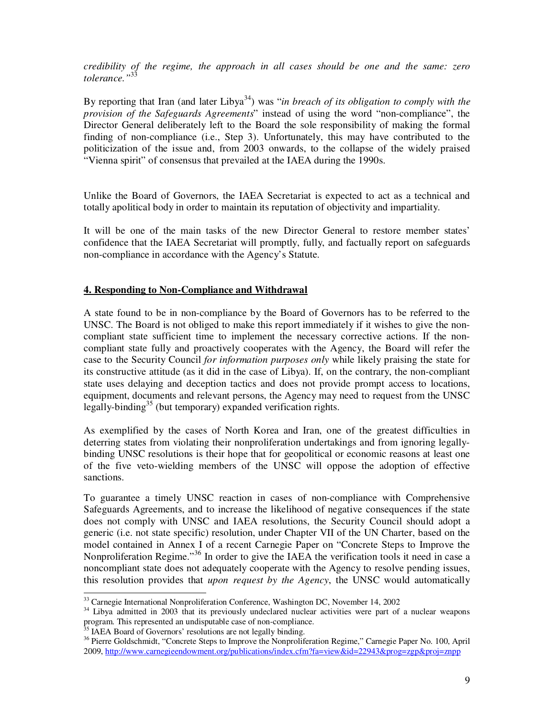*credibility of the regime, the approach in all cases should be one and the same: zero tolerance."*<sup>33</sup>

By reporting that Iran (and later Libya<sup>34</sup>) was "*in breach of its obligation to comply with the provision of the Safeguards Agreements*" instead of using the word "non-compliance", the Director General deliberately left to the Board the sole responsibility of making the formal finding of non-compliance (i.e., Step 3). Unfortunately, this may have contributed to the politicization of the issue and, from 2003 onwards, to the collapse of the widely praised "Vienna spirit" of consensus that prevailed at the IAEA during the 1990s.

Unlike the Board of Governors, the IAEA Secretariat is expected to act as a technical and totally apolitical body in order to maintain its reputation of objectivity and impartiality.

It will be one of the main tasks of the new Director General to restore member states' confidence that the IAEA Secretariat will promptly, fully, and factually report on safeguards non-compliance in accordance with the Agency's Statute.

#### **4. Responding to Non-Compliance and Withdrawal**

A state found to be in non-compliance by the Board of Governors has to be referred to the UNSC. The Board is not obliged to make this report immediately if it wishes to give the noncompliant state sufficient time to implement the necessary corrective actions. If the noncompliant state fully and proactively cooperates with the Agency, the Board will refer the case to the Security Council *for information purposes only* while likely praising the state for its constructive attitude (as it did in the case of Libya). If, on the contrary, the non-compliant state uses delaying and deception tactics and does not provide prompt access to locations, equipment, documents and relevant persons, the Agency may need to request from the UNSC legally-binding<sup>35</sup> (but temporary) expanded verification rights.

As exemplified by the cases of North Korea and Iran, one of the greatest difficulties in deterring states from violating their nonproliferation undertakings and from ignoring legallybinding UNSC resolutions is their hope that for geopolitical or economic reasons at least one of the five veto-wielding members of the UNSC will oppose the adoption of effective sanctions.

To guarantee a timely UNSC reaction in cases of non-compliance with Comprehensive Safeguards Agreements, and to increase the likelihood of negative consequences if the state does not comply with UNSC and IAEA resolutions, the Security Council should adopt a generic (i.e. not state specific) resolution, under Chapter VII of the UN Charter, based on the model contained in Annex I of a recent Carnegie Paper on "Concrete Steps to Improve the Nonproliferation Regime."<sup>36</sup> In order to give the IAEA the verification tools it need in case a noncompliant state does not adequately cooperate with the Agency to resolve pending issues, this resolution provides that *upon request by the Agency*, the UNSC would automatically

 $\overline{a}$ 

<sup>&</sup>lt;sup>33</sup> Carnegie International Nonproliferation Conference, Washington DC, November 14, 2002

<sup>&</sup>lt;sup>34</sup> Libya admitted in 2003 that its previously undeclared nuclear activities were part of a nuclear weapons program. This represented an undisputable case of non-compliance.

<sup>&</sup>lt;sup>35</sup> IAEA Board of Governors' resolutions are not legally binding.

<sup>&</sup>lt;sup>36</sup> Pierre Goldschmidt, "Concrete Steps to Improve the Nonproliferation Regime," Carnegie Paper No. 100, April 2009, http://www.carnegieendowment.org/publications/index.cfm?fa=view&id=22943&prog=zgp&proj=znpp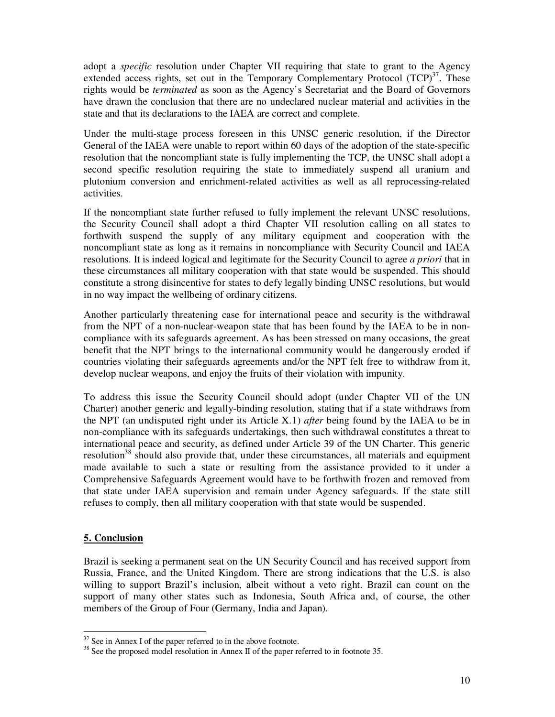adopt a *specific* resolution under Chapter VII requiring that state to grant to the Agency extended access rights, set out in the Temporary Complementary Protocol  $(TCP)^{37}$ . These rights would be *terminated* as soon as the Agency's Secretariat and the Board of Governors have drawn the conclusion that there are no undeclared nuclear material and activities in the state and that its declarations to the IAEA are correct and complete.

Under the multi-stage process foreseen in this UNSC generic resolution, if the Director General of the IAEA were unable to report within 60 days of the adoption of the state-specific resolution that the noncompliant state is fully implementing the TCP, the UNSC shall adopt a second specific resolution requiring the state to immediately suspend all uranium and plutonium conversion and enrichment-related activities as well as all reprocessing-related activities.

If the noncompliant state further refused to fully implement the relevant UNSC resolutions, the Security Council shall adopt a third Chapter VII resolution calling on all states to forthwith suspend the supply of any military equipment and cooperation with the noncompliant state as long as it remains in noncompliance with Security Council and IAEA resolutions. It is indeed logical and legitimate for the Security Council to agree *a priori* that in these circumstances all military cooperation with that state would be suspended. This should constitute a strong disincentive for states to defy legally binding UNSC resolutions, but would in no way impact the wellbeing of ordinary citizens.

Another particularly threatening case for international peace and security is the withdrawal from the NPT of a non-nuclear-weapon state that has been found by the IAEA to be in noncompliance with its safeguards agreement. As has been stressed on many occasions, the great benefit that the NPT brings to the international community would be dangerously eroded if countries violating their safeguards agreements and/or the NPT felt free to withdraw from it, develop nuclear weapons, and enjoy the fruits of their violation with impunity.

To address this issue the Security Council should adopt (under Chapter VII of the UN Charter) another generic and legally-binding resolution, stating that if a state withdraws from the NPT (an undisputed right under its Article X.1) *after* being found by the IAEA to be in non-compliance with its safeguards undertakings, then such withdrawal constitutes a threat to international peace and security, as defined under Article 39 of the UN Charter. This generic resolution<sup>38</sup> should also provide that, under these circumstances, all materials and equipment made available to such a state or resulting from the assistance provided to it under a Comprehensive Safeguards Agreement would have to be forthwith frozen and removed from that state under IAEA supervision and remain under Agency safeguards. If the state still refuses to comply, then all military cooperation with that state would be suspended.

#### **5. Conclusion**

 $\overline{a}$ 

Brazil is seeking a permanent seat on the UN Security Council and has received support from Russia, France, and the United Kingdom. There are strong indications that the U.S. is also willing to support Brazil's inclusion, albeit without a veto right. Brazil can count on the support of many other states such as Indonesia, South Africa and, of course, the other members of the Group of Four (Germany, India and Japan).

 $37$  See in Annex I of the paper referred to in the above footnote.

<sup>&</sup>lt;sup>38</sup> See the proposed model resolution in Annex II of the paper referred to in footnote 35.